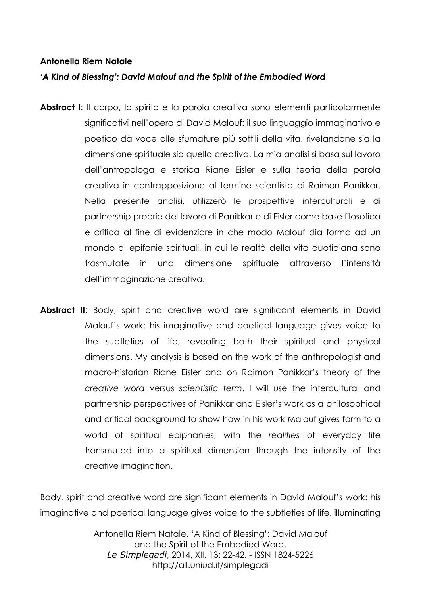## **Antonella Riem Natale**

## *'A Kind of Blessing': David Malouf and the Spirit of the Embodied Word*

- **Abstract I:** Il corpo, lo spirito e la parola creativa sono elementi particolarmente significativi nell'opera di David Malouf: il suo linguaggio immaginativo e poetico dà voce alle sfumature più sottili della vita, rivelandone sia la dimensione spirituale sia quella creativa. La mia analisi si basa sul lavoro dell'antropologa e storica Riane Eisler e sulla teoria della parola creativa in contrapposizione al termine scientista di Raimon Panikkar. Nella presente analisi, utilizzerò le prospettive interculturali e di partnership proprie del lavoro di Panikkar e di Eisler come base filosofica e critica al fine di evidenziare in che modo Malouf dia forma ad un mondo di epifanie spirituali, in cui le realtà della vita quotidiana sono trasmutate in una dimensione spirituale attraverso l'intensità dell'immaginazione creativa.
- Abstract II: Body, spirit and creative word are significant elements in David Malouf's work: his imaginative and poetical language gives voice to the subtleties of life, revealing both their spiritual and physical dimensions. My analysis is based on the work of the anthropologist and macro-historian Riane Eisler and on Raimon Panikkar's theory of the *creative word* versus *scientistic term*. I will use the intercultural and partnership perspectives of Panikkar and Eisler's work as a philosophical and critical background to show how in his work Malouf gives form to a world of spiritual epiphanies, with the *realities* of everyday life transmuted into a spiritual dimension through the intensity of the creative imagination.

Body, spirit and creative word are significant elements in David Malouf's work: his imaginative and poetical language gives voice to the subtleties of life, illuminating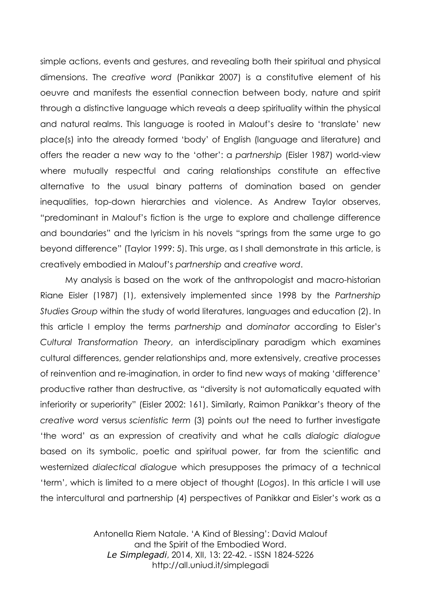simple actions, events and gestures, and revealing both their spiritual and physical dimensions. The *creative word* (Panikkar 2007) is a constitutive element of his oeuvre and manifests the essential connection between body, nature and spirit through a distinctive language which reveals a deep spirituality within the physical and natural realms. This language is rooted in Malouf's desire to 'translate' new place(s) into the already formed 'body' of English (language and literature) and offers the reader a new way to the 'other': a *partnership* (Eisler 1987) world-view where mutually respectful and caring relationships constitute an effective alternative to the usual binary patterns of domination based on gender inequalities, top-down hierarchies and violence. As Andrew Taylor observes, "predominant in Malouf's fiction is the urge to explore and challenge difference and boundaries" and the lyricism in his novels "springs from the same urge to go beyond difference" (Taylor 1999: 5). This urge, as I shall demonstrate in this article, is creatively embodied in Malouf's *partnership* and *creative word*.

My analysis is based on the work of the anthropologist and macro-historian Riane Eisler (1987) (1), extensively implemented since 1998 by the *Partnership Studies Group* within the study of world literatures, languages and education (2). In this article I employ the terms *partnership* and *dominator* according to Eisler's *Cultural Transformation Theory*, an interdisciplinary paradigm which examines cultural differences, gender relationships and, more extensively, creative processes of reinvention and re-imagination, in order to find new ways of making 'difference' productive rather than destructive, as "diversity is not automatically equated with inferiority or superiority" (Eisler 2002: 161). Similarly, Raimon Panikkar's theory of the *creative word* versus *scientistic term* (3) points out the need to further investigate 'the word' as an expression of creativity and what he calls *dialogic dialogue* based on its symbolic, poetic and spiritual power, far from the scientific and westernized *dialectical dialogue* which presupposes the primacy of a technical 'term', which is limited to a mere object of thought (*Logos*). In this article I will use the intercultural and partnership (4) perspectives of Panikkar and Eisler's work as a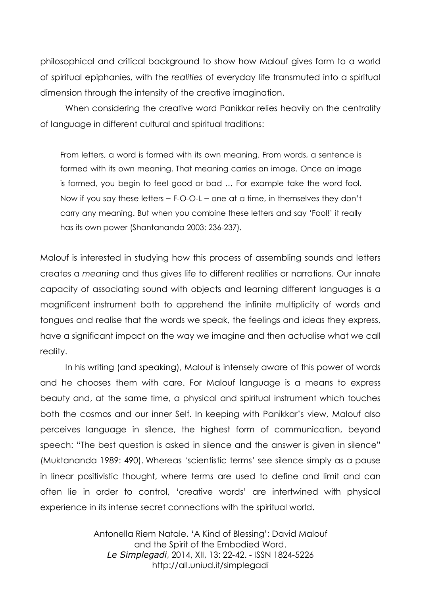philosophical and critical background to show how Malouf gives form to a world of spiritual epiphanies, with the *realities* of everyday life transmuted into a spiritual dimension through the intensity of the creative imagination.

When considering the creative word Panikkar relies heavily on the centrality of language in different cultural and spiritual traditions:

From letters, a word is formed with its own meaning. From words, a sentence is formed with its own meaning. That meaning carries an image. Once an image is formed, you begin to feel good or bad … For example take the word fool. Now if you say these letters – F-O-O-L – one at a time, in themselves they don't carry any meaning. But when you combine these letters and say 'Fool!' it really has its own power (Shantananda 2003: 236-237).

Malouf is interested in studying how this process of assembling sounds and letters creates a *meaning* and thus gives life to different realities or narrations. Our innate capacity of associating sound with objects and learning different languages is a magnificent instrument both to apprehend the infinite multiplicity of words and tongues and realise that the words we speak, the feelings and ideas they express, have a significant impact on the way we imagine and then actualise what we call reality.

In his writing (and speaking), Malouf is intensely aware of this power of words and he chooses them with care. For Malouf language is a means to express beauty and, at the same time, a physical and spiritual instrument which touches both the cosmos and our inner Self. In keeping with Panikkar's view, Malouf also perceives language in silence, the highest form of communication, beyond speech: "The best question is asked in silence and the answer is given in silence" (Muktananda 1989: 490). Whereas 'scientistic terms' see silence simply as a pause in linear positivistic thought, where terms are used to define and limit and can often lie in order to control, 'creative words' are intertwined with physical experience in its intense secret connections with the spiritual world.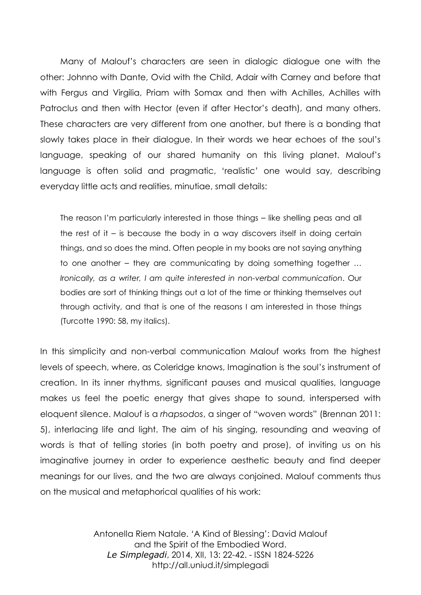Many of Malouf's characters are seen in dialogic dialogue one with the other: Johnno with Dante, Ovid with the Child, Adair with Carney and before that with Fergus and Virgilia, Priam with Somax and then with Achilles, Achilles with Patroclus and then with Hector (even if after Hector's death), and many others. These characters are very different from one another, but there is a bonding that slowly takes place in their dialogue. In their words we hear echoes of the soul's language, speaking of our shared humanity on this living planet. Malouf's language is often solid and pragmatic, 'realistic' one would say, describing everyday little acts and realities, minutiae, small details:

The reason I'm particularly interested in those things – like shelling peas and all the rest of it – is because the body in a way discovers itself in doing certain things, and so does the mind. Often people in my books are not saying anything to one another – they are communicating by doing something together … *Ironically, as a writer, I am quite interested in non-verbal communication*. Our bodies are sort of thinking things out a lot of the time or thinking themselves out through activity, and that is one of the reasons I am interested in those things (Turcotte 1990: 58, my italics).

In this simplicity and non-verbal communication Malouf works from the highest levels of speech, where, as Coleridge knows, Imagination is the soul's instrument of creation. In its inner rhythms, significant pauses and musical qualities, language makes us feel the poetic energy that gives shape to sound, interspersed with eloquent silence. Malouf is a *rhapsodos*, a singer of "woven words" (Brennan 2011: 5), interlacing life and light. The aim of his singing, resounding and weaving of words is that of telling stories (in both poetry and prose), of inviting us on his imaginative journey in order to experience aesthetic beauty and find deeper meanings for our lives, and the two are always conjoined. Malouf comments thus on the musical and metaphorical qualities of his work: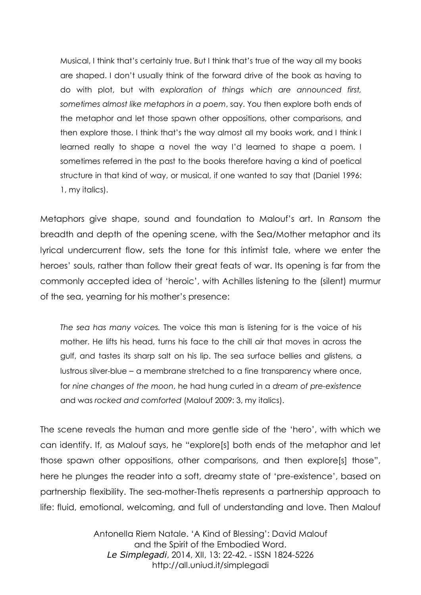Musical, I think that's certainly true. But I think that's true of the way all my books are shaped. I don't usually think of the forward drive of the book as having to do with plot, but with *exploration of things which are announced first, sometimes almost like metaphors in a poem*, say. You then explore both ends of the metaphor and let those spawn other oppositions, other comparisons, and then explore those. I think that's the way almost all my books work, and I think I learned really to shape a novel the way I'd learned to shape a poem. I sometimes referred in the past to the books therefore having a kind of poetical structure in that kind of way, or musical, if one wanted to say that (Daniel 1996: 1, my italics).

Metaphors give shape, sound and foundation to Malouf's art. In *Ransom* the breadth and depth of the opening scene, with the Sea/Mother metaphor and its lyrical undercurrent flow, sets the tone for this intimist tale, where we enter the heroes' souls, rather than follow their great feats of war. Its opening is far from the commonly accepted idea of 'heroic', with Achilles listening to the (silent) murmur of the sea, yearning for his mother's presence:

*The sea has many voices.* The voice this man is listening for is the voice of his mother. He lifts his head, turns his face to the chill air that moves in across the gulf, and tastes its sharp salt on his lip. The sea surface bellies and glistens, a lustrous silver-blue – a membrane stretched to a fine transparency where once, for *nine changes of the moon*, he had hung curled in a *dream of pre-existence* and was *rocked and comforted* (Malouf 2009: 3, my italics).

The scene reveals the human and more gentle side of the 'hero', with which we can identify. If, as Malouf says, he "explore[s] both ends of the metaphor and let those spawn other oppositions, other comparisons, and then explore[s] those", here he plunges the reader into a soft, dreamy state of 'pre-existence', based on partnership flexibility. The sea-mother-Thetis represents a partnership approach to life: fluid, emotional, welcoming, and full of understanding and love. Then Malouf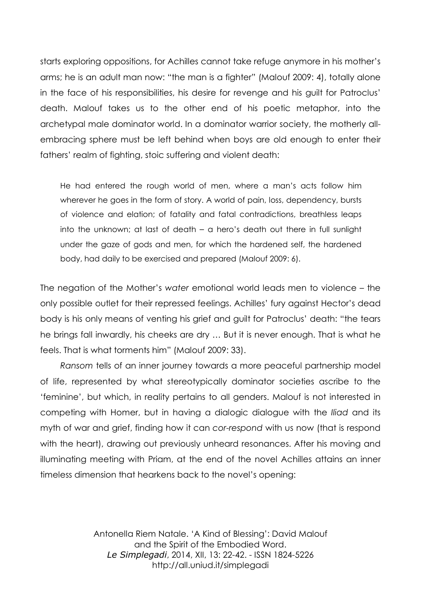starts exploring oppositions, for Achilles cannot take refuge anymore in his mother's arms; he is an adult man now: "the man is a fighter" (Malouf 2009: 4), totally alone in the face of his responsibilities, his desire for revenge and his guilt for Patroclus' death. Malouf takes us to the other end of his poetic metaphor, into the archetypal male dominator world. In a dominator warrior society, the motherly allembracing sphere must be left behind when boys are old enough to enter their fathers' realm of fighting, stoic suffering and violent death:

He had entered the rough world of men, where a man's acts follow him wherever he goes in the form of story. A world of pain, loss, dependency, bursts of violence and elation; of fatality and fatal contradictions, breathless leaps into the unknown; at last of death – a hero's death out there in full sunlight under the gaze of gods and men, for which the hardened self, the hardened body, had daily to be exercised and prepared (Malouf 2009: 6).

The negation of the Mother's *water* emotional world leads men to violence – the only possible outlet for their repressed feelings. Achilles' fury against Hector's dead body is his only means of venting his grief and guilt for Patroclus' death: "the tears he brings fall inwardly, his cheeks are dry … But it is never enough. That is what he feels. That is what torments him" (Malouf 2009: 33).

*Ransom* tells of an inner journey towards a more peaceful partnership model of life, represented by what stereotypically dominator societies ascribe to the 'feminine', but which, in reality pertains to all genders. Malouf is not interested in competing with Homer, but in having a dialogic dialogue with the *Iliad* and its myth of war and grief, finding how it can *cor*-*respond* with us now (that is respond with the heart), drawing out previously unheard resonances. After his moving and illuminating meeting with Priam, at the end of the novel Achilles attains an inner timeless dimension that hearkens back to the novel's opening: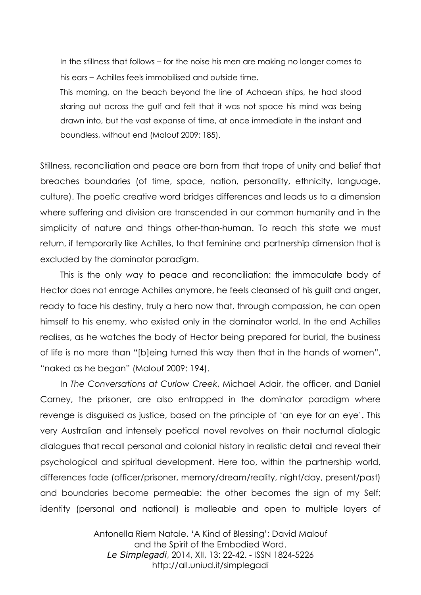In the stillness that follows – for the noise his men are making no longer comes to his ears – Achilles feels immobilised and outside time.

This morning, on the beach beyond the line of Achaean ships, he had stood staring out across the gulf and felt that it was not space his mind was being drawn into, but the vast expanse of time, at once immediate in the instant and boundless, without end (Malouf 2009: 185).

Stillness, reconciliation and peace are born from that trope of unity and belief that breaches boundaries (of time, space, nation, personality, ethnicity, language, culture). The poetic creative word bridges differences and leads us to a dimension where suffering and division are transcended in our common humanity and in the simplicity of nature and things other-than-human. To reach this state we must return, if temporarily like Achilles, to that feminine and partnership dimension that is excluded by the dominator paradigm.

This is the only way to peace and reconciliation: the immaculate body of Hector does not enrage Achilles anymore, he feels cleansed of his guilt and anger, ready to face his destiny, truly a hero now that, through compassion, he can open himself to his enemy, who existed only in the dominator world. In the end Achilles realises, as he watches the body of Hector being prepared for burial, the business of life is no more than "[b]eing turned this way then that in the hands of women", "naked as he began" (Malouf 2009: 194).

In *The Conversations at Curlow Creek*, Michael Adair, the officer, and Daniel Carney, the prisoner, are also entrapped in the dominator paradigm where revenge is disguised as justice, based on the principle of 'an eye for an eye'. This very Australian and intensely poetical novel revolves on their nocturnal dialogic dialogues that recall personal and colonial history in realistic detail and reveal their psychological and spiritual development. Here too, within the partnership world, differences fade (officer/prisoner, memory/dream/reality, night/day, present/past) and boundaries become permeable: the other becomes the sign of my Self; identity (personal and national) is malleable and open to multiple layers of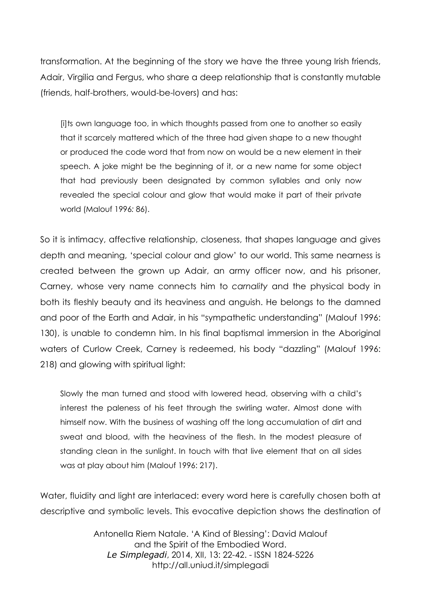transformation. At the beginning of the story we have the three young Irish friends, Adair, Virgilia and Fergus, who share a deep relationship that is constantly mutable (friends, half-brothers, would-be-lovers) and has:

[i]ts own language too, in which thoughts passed from one to another so easily that it scarcely mattered which of the three had given shape to a new thought or produced the code word that from now on would be a new element in their speech. A joke might be the beginning of it, or a new name for some object that had previously been designated by common syllables and only now revealed the special colour and glow that would make it part of their private world (Malouf 1996*:* 86).

So it is intimacy, affective relationship, closeness, that shapes language and gives depth and meaning, 'special colour and glow' to our world. This same nearness is created between the grown up Adair, an army officer now, and his prisoner, Carney, whose very name connects him to *carnality* and the physical body in both its fleshly beauty and its heaviness and anguish. He belongs to the damned and poor of the Earth and Adair, in his "sympathetic understanding" (Malouf 1996: 130), is unable to condemn him. In his final baptismal immersion in the Aboriginal waters of Curlow Creek, Carney is redeemed, his body "dazzling" (Malouf 1996: 218) and glowing with spiritual light:

Slowly the man turned and stood with lowered head, observing with a child's interest the paleness of his feet through the swirling water. Almost done with himself now. With the business of washing off the long accumulation of dirt and sweat and blood, with the heaviness of the flesh. In the modest pleasure of standing clean in the sunlight. In touch with that live element that on all sides was at play about him (Malouf 1996: 217).

Water, fluidity and light are interlaced: every word here is carefully chosen both at descriptive and symbolic levels. This evocative depiction shows the destination of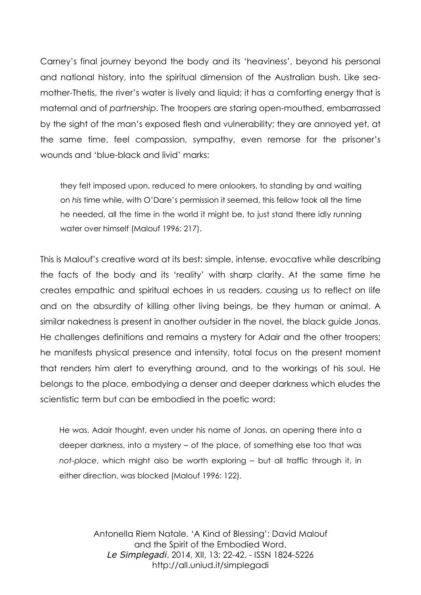Carney's final journey beyond the body and its 'heaviness', beyond his personal and national history, into the spiritual dimension of the Australian bush. Like seamother-Thetis, the river's water is lively and liquid; it has a comforting energy that is maternal and of *partnership*. The troopers are staring open-mouthed, embarrassed by the sight of the man's exposed flesh and vulnerability; they are annoyed yet, at the same time, feel compassion, sympathy, even remorse for the prisoner's wounds and 'blue-black and livid' marks:

they felt imposed upon, reduced to mere onlookers, to standing by and waiting on *his* time while, with O'Dare's permission it seemed, this fellow took all the time he needed, all the time in the world it might be, to just stand there idly running water over himself (Malouf 1996: 217).

This is Malouf's creative word at its best: simple, intense, evocative while describing the facts of the body and its 'reality' with sharp clarity. At the same time he creates empathic and spiritual echoes in us readers, causing us to reflect on life and on the absurdity of killing other living beings, be they human or animal. A similar nakedness is present in another outsider in the novel, the black guide Jonas. He challenges definitions and remains a mystery for Adair and the other troopers; he manifests physical presence and intensity, total focus on the present moment that renders him alert to everything around, and to the workings of his soul. He belongs to the place, embodying a denser and deeper darkness which eludes the scientistic term but can be embodied in the poetic word:

He was, Adair thought, even under his name of Jonas, an opening there into a deeper darkness, into a mystery – of the place, of something else too that was *not-place*, which might also be worth exploring – but all traffic through it, in either direction, was blocked (Malouf 1996: 122).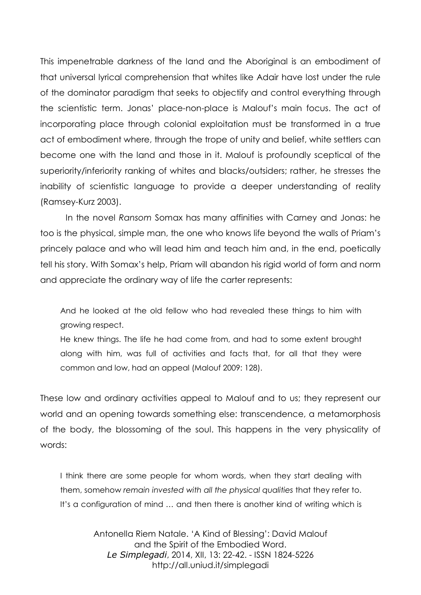This impenetrable darkness of the land and the Aboriginal is an embodiment of that universal lyrical comprehension that whites like Adair have lost under the rule of the dominator paradigm that seeks to objectify and control everything through the scientistic term. Jonas' place-non-place is Malouf's main focus. The act of incorporating place through colonial exploitation must be transformed in a true act of embodiment where, through the trope of unity and belief, white settlers can become one with the land and those in it. Malouf is profoundly sceptical of the superiority/inferiority ranking of whites and blacks/outsiders; rather, he stresses the inability of scientistic language to provide a deeper understanding of reality (Ramsey-Kurz 2003).

In the novel *Ransom* Somax has many affinities with Carney and Jonas: he too is the physical, simple man, the one who knows life beyond the walls of Priam's princely palace and who will lead him and teach him and, in the end, poetically tell his story. With Somax's help, Priam will abandon his rigid world of form and norm and appreciate the ordinary way of life the carter represents:

And he looked at the old fellow who had revealed these things to him with growing respect.

He knew things. The life he had come from, and had to some extent brought along with him, was full of activities and facts that, for all that they were common and low, had an appeal (Malouf 2009: 128).

These low and ordinary activities appeal to Malouf and to us; they represent our world and an opening towards something else: transcendence, a metamorphosis of the body, the blossoming of the soul. This happens in the very physicality of words:

I think there are some people for whom words, when they start dealing with them, somehow *remain invested with all the physical qualities* that they refer to. It's a configuration of mind … and then there is another kind of writing which is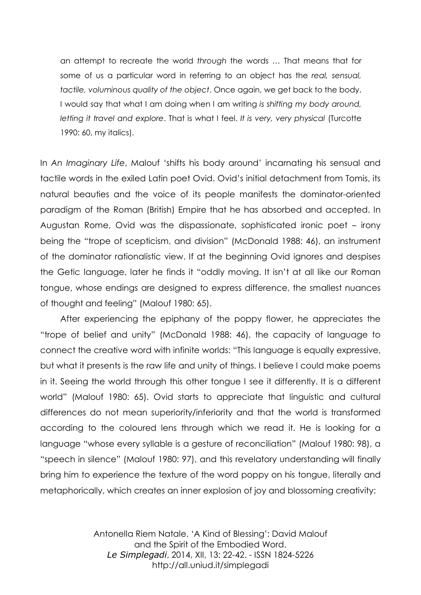an attempt to recreate the world *through* the words … That means that for some of us a particular word in referring to an object has the *real, sensual, tactile, voluminous quality of the object*. Once again, we get back to the body. I would say that what I am doing when I am writing *is shifting my body around, letting it travel and explore*. That is what I feel. *It is very, very physical* (Turcotte 1990: 60, my italics).

In *An Imaginary Life*, Malouf 'shifts his body around' incarnating his sensual and tactile words in the exiled Latin poet Ovid. Ovid's initial detachment from Tomis, its natural beauties and the voice of its people manifests the dominator-oriented paradigm of the Roman (British) Empire that he has absorbed and accepted. In Augustan Rome, Ovid was the dispassionate, sophisticated ironic poet – irony being the "trope of scepticism, and division" (McDonald 1988: 46), an instrument of the dominator rationalistic view. If at the beginning Ovid ignores and despises the Getic language, later he finds it "oddly moving. It isn't at all like our Roman tongue, whose endings are designed to express difference, the smallest nuances of thought and feeling" (Malouf 1980: 65).

After experiencing the epiphany of the poppy flower, he appreciates the "trope of belief and unity" (McDonald 1988: 46), the capacity of language to connect the creative word with infinite worlds: "This language is equally expressive, but what it presents is the raw life and unity of things. I believe I could make poems in it. Seeing the world through this other tongue I see it differently. It is a different world" (Malouf 1980: 65). Ovid starts to appreciate that linguistic and cultural differences do not mean superiority/inferiority and that the world is transformed according to the coloured lens through which we read it. He is looking for a language "whose every syllable is a gesture of reconciliation" (Malouf 1980: 98), a "speech in silence" (Malouf 1980: 97), and this revelatory understanding will finally bring him to experience the texture of the word poppy on his tongue, literally and metaphorically, which creates an inner explosion of joy and blossoming creativity: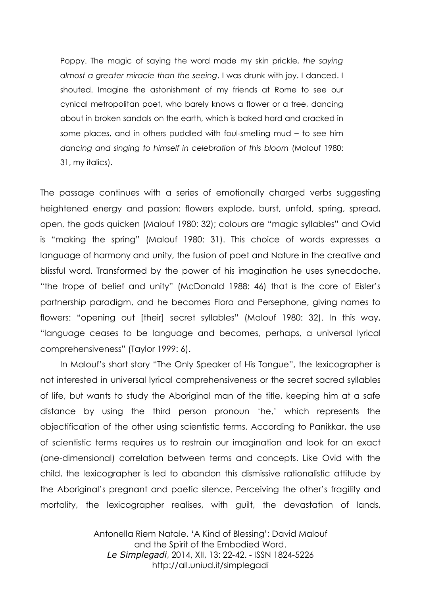Poppy. The magic of saying the word made my skin prickle, *the saying almost a greater miracle than the seeing*. I was drunk with joy. I danced. I shouted. Imagine the astonishment of my friends at Rome to see our cynical metropolitan poet, who barely knows a flower or a tree, dancing about in broken sandals on the earth, which is baked hard and cracked in some places, and in others puddled with foul-smelling mud – to see him *dancing and singing to himself in celebration of this bloom* (Malouf 1980: 31, my italics).

The passage continues with a series of emotionally charged verbs suggesting heightened energy and passion: flowers explode, burst, unfold, spring, spread, open, the gods quicken (Malouf 1980: 32); colours are "magic syllables" and Ovid is "making the spring" (Malouf 1980: 31). This choice of words expresses a language of harmony and unity, the fusion of poet and Nature in the creative and blissful word. Transformed by the power of his imagination he uses synecdoche, "the trope of belief and unity" (McDonald 1988: 46) that is the core of Eisler's partnership paradigm, and he becomes Flora and Persephone, giving names to flowers: "opening out [their] secret syllables" (Malouf 1980: 32). In this way, "language ceases to be language and becomes, perhaps, a universal lyrical comprehensiveness" (Taylor 1999: 6).

In Malouf's short story "The Only Speaker of His Tongue", the lexicographer is not interested in universal lyrical comprehensiveness or the secret sacred syllables of life, but wants to study the Aboriginal man of the title, keeping him at a safe distance by using the third person pronoun 'he,' which represents the objectification of the other using scientistic terms. According to Panikkar, the use of scientistic terms requires us to restrain our imagination and look for an exact (one-dimensional) correlation between terms and concepts. Like Ovid with the child, the lexicographer is led to abandon this dismissive rationalistic attitude by the Aboriginal's pregnant and poetic silence. Perceiving the other's fragility and mortality, the lexicographer realises, with guilt, the devastation of lands,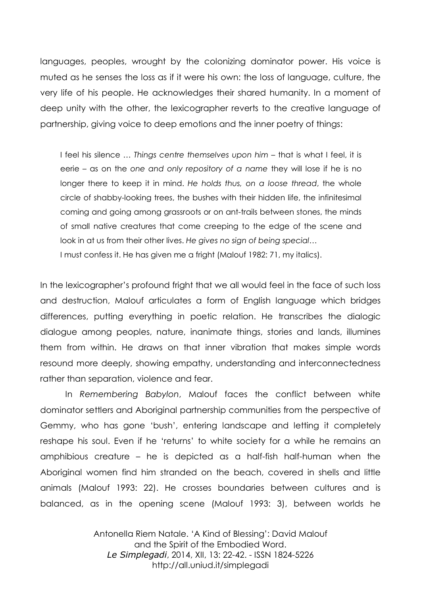languages, peoples, wrought by the colonizing dominator power. His voice is muted as he senses the loss as if it were his own: the loss of language, culture, the very life of his people. He acknowledges their shared humanity. In a moment of deep unity with the other, the lexicographer reverts to the creative language of partnership, giving voice to deep emotions and the inner poetry of things:

I feel his silence … *Things centre themselves upon him* – that is what I feel, it is eerie – as on the *one and only repository of a name* they will lose if he is no longer there to keep it in mind. *He holds thus, on a loose thread*, the whole circle of shabby-looking trees, the bushes with their hidden life, the infinitesimal coming and going among grassroots or on ant-trails between stones, the minds of small native creatures that come creeping to the edge of the scene and look in at us from their other lives. *He gives no sign of being special…* I must confess it. He has given me a fright (Malouf 1982: 71, my italics).

In the lexicographer's profound fright that we all would feel in the face of such loss and destruction, Malouf articulates a form of English language which bridges differences, putting everything in poetic relation. He transcribes the dialogic dialogue among peoples, nature, inanimate things, stories and lands, illumines them from within. He draws on that inner vibration that makes simple words resound more deeply, showing empathy, understanding and interconnectedness rather than separation, violence and fear.

In *Remembering Babylon*, Malouf faces the conflict between white dominator settlers and Aboriginal partnership communities from the perspective of Gemmy, who has gone 'bush', entering landscape and letting it completely reshape his soul. Even if he 'returns' to white society for a while he remains an amphibious creature – he is depicted as a half-fish half-human when the Aboriginal women find him stranded on the beach, covered in shells and little animals (Malouf 1993: 22). He crosses boundaries between cultures and is balanced, as in the opening scene (Malouf 1993: 3), between worlds he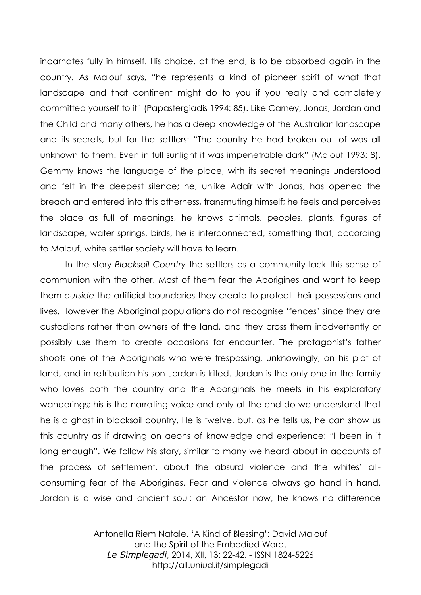incarnates fully in himself. His choice, at the end, is to be absorbed again in the country. As Malouf says, "he represents a kind of pioneer spirit of what that landscape and that continent might do to you if you really and completely committed yourself to it" (Papastergiadis 1994: 85). Like Carney, Jonas, Jordan and the Child and many others, he has a deep knowledge of the Australian landscape and its secrets, but for the settlers: "The country he had broken out of was all unknown to them. Even in full sunlight it was impenetrable dark" (Malouf 1993: 8). Gemmy knows the language of the place, with its secret meanings understood and felt in the deepest silence; he, unlike Adair with Jonas, has opened the breach and entered into this otherness, transmuting himself; he feels and perceives the place as full of meanings, he knows animals, peoples, plants, figures of landscape, water springs, birds, he is interconnected, something that, according to Malouf, white settler society will have to learn.

In the story *Blacksoil Country* the settlers as a community lack this sense of communion with the other. Most of them fear the Aborigines and want to keep them *outside* the artificial boundaries they create to protect their possessions and lives. However the Aboriginal populations do not recognise 'fences' since they are custodians rather than owners of the land, and they cross them inadvertently or possibly use them to create occasions for encounter. The protagonist's father shoots one of the Aboriginals who were trespassing, unknowingly, on his plot of land, and in retribution his son Jordan is killed. Jordan is the only one in the family who loves both the country and the Aboriginals he meets in his exploratory wanderings; his is the narrating voice and only at the end do we understand that he is a ghost in blacksoil country. He is twelve, but, as he tells us, he can show us this country as if drawing on aeons of knowledge and experience: "I been in it long enough". We follow his story, similar to many we heard about in accounts of the process of settlement, about the absurd violence and the whites' allconsuming fear of the Aborigines. Fear and violence always go hand in hand. Jordan is a wise and ancient soul; an Ancestor now, he knows no difference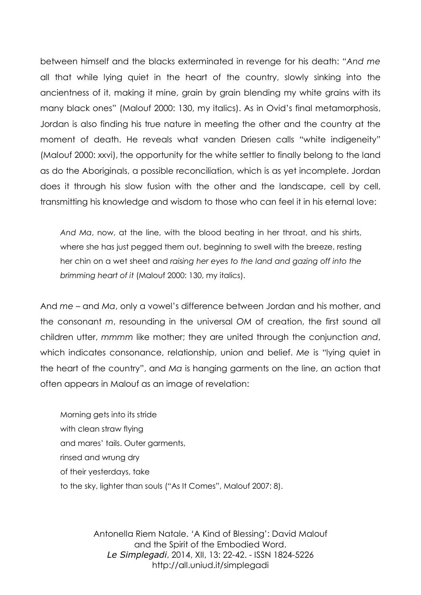between himself and the blacks exterminated in revenge for his death: "*And me* all that while lying quiet in the heart of the country, slowly sinking into the ancientness of it, making it mine, grain by grain blending my white grains with its many black ones" (Malouf 2000: 130, my italics). As in Ovid's final metamorphosis, Jordan is also finding his true nature in meeting the other and the country at the moment of death. He reveals what vanden Driesen calls "white indigeneity" (Malouf 2000: xxvi), the opportunity for the white settler to finally belong to the land as do the Aboriginals, a possible reconciliation, which is as yet incomplete. Jordan does it through his slow fusion with the other and the landscape, cell by cell, transmitting his knowledge and wisdom to those who can feel it in his eternal love:

*And Ma*, now, at the line, with the blood beating in her throat, and his shirts, where she has just pegged them out, beginning to swell with the breeze, resting her chin on a wet sheet and *raising her eyes to the land and gazing off into the brimming heart of it* (Malouf 2000: 130, my italics).

And *me* – and *Ma*, only a vowel's difference between Jordan and his mother, and the consonant *m*, resounding in the universal *OM* of creation, the first sound all children utter, *mmmm* like mother; they are united through the conjunction *and*, which indicates consonance, relationship, union and belief. *Me* is "lying quiet in the heart of the country", and *Ma* is hanging garments on the line, an action that often appears in Malouf as an image of revelation:

Morning gets into its stride with clean straw flying and mares' tails. Outer garments, rinsed and wrung dry of their yesterdays, take to the sky, lighter than souls ("As It Comes", Malouf 2007: 8).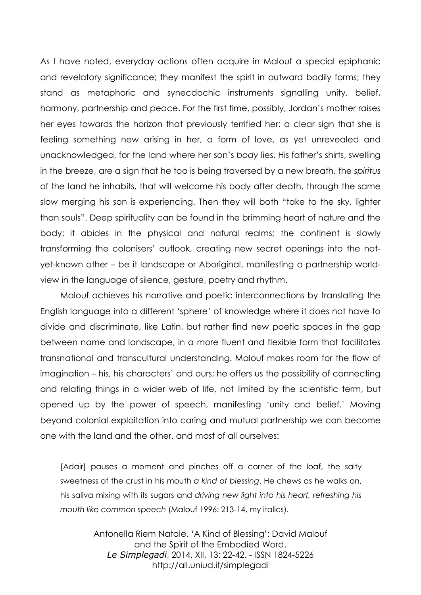As I have noted, everyday actions often acquire in Malouf a special epiphanic and revelatory significance; they manifest the spirit in outward bodily forms; they stand as metaphoric and synecdochic instruments signalling unity, belief, harmony, partnership and peace. For the first time, possibly, Jordan's mother raises her eyes towards the horizon that previously terrified her: a clear sign that she is feeling something new arising in her, a form of love, as yet unrevealed and unacknowledged, for the land where her son's *body* lies. His father's shirts, swelling in the breeze, are a sign that he too is being traversed by a new breath, the *spiritus* of the land he inhabits, that will welcome his body after death, through the same slow merging his son is experiencing. Then they will both "take to the sky, lighter than souls". Deep spirituality can be found in the brimming heart of nature and the body: it abides in the physical and natural realms; the continent is slowly transforming the colonisers' outlook, creating new secret openings into the notyet-known other – be it landscape or Aboriginal, manifesting a partnership worldview in the language of silence, gesture, poetry and rhythm.

Malouf achieves his narrative and poetic interconnections by translating the English language into a different 'sphere' of knowledge where it does not have to divide and discriminate, like Latin, but rather find new poetic spaces in the gap between name and landscape, in a more fluent and flexible form that facilitates transnational and transcultural understanding. Malouf makes room for the flow of imagination – his, his characters' and ours; he offers us the possibility of connecting and relating things in a wider web of life, not limited by the scientistic term, but opened up by the power of speech, manifesting 'unity and belief.' Moving beyond colonial exploitation into caring and mutual partnership we can become one with the land and the other, and most of all ourselves:

[Adair] pauses a moment and pinches off a corner of the loaf, the salty sweetness of the crust in his mouth *a kind of blessing*. He chews as he walks on, his saliva mixing with its sugars and *driving new light into his heart, refreshing his mouth like common speech* (Malouf 1996: 213-14, my italics).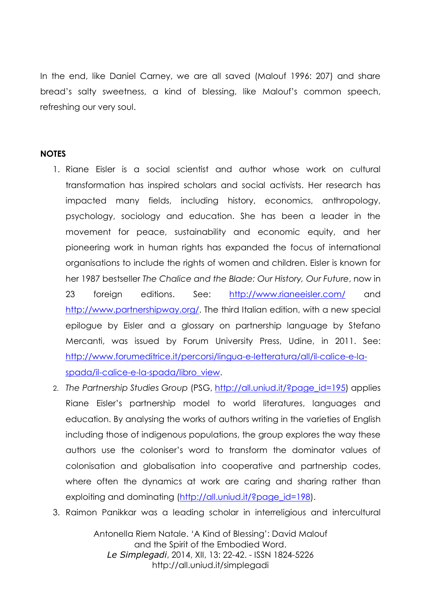In the end, like Daniel Carney, we are all saved (Malouf 1996: 207) and share bread's salty sweetness, a kind of blessing, like Malouf's common speech, refreshing our very soul.

## **NOTES**

- 1. Riane Eisler is a social scientist and author whose work on cultural transformation has inspired scholars and social activists. Her research has impacted many fields, including history, economics, anthropology, psychology, sociology and education. She has been a leader in the movement for peace, sustainability and economic equity, and her pioneering work in human rights has expanded the focus of international organisations to include the rights of women and children. Eisler is known for her 1987 bestseller *The Chalice and the Blade: Our History, Our Future*, now in 23 foreign editions. See: <http://www.rianeeisler.com/> and [http://www.partnershipway.org/.](http://www.partnershipway.org/) The third Italian edition, with a new special epilogue by Eisler and a glossary on partnership language by Stefano Mercanti, was issued by Forum University Press, Udine, in 2011. See: [http://www.forumeditrice.it/percorsi/lingua-e-letteratura/all/il-calice-e-la](http://www.forumeditrice.it/percorsi/lingua-e-letteratura/all/il-calice-e-la-spada/il-calice-e-la-spada/libro_view)[spada/il-calice-e-la-spada/libro\\_view.](http://www.forumeditrice.it/percorsi/lingua-e-letteratura/all/il-calice-e-la-spada/il-calice-e-la-spada/libro_view)
- 2. *The Partnership Studies Group* (PSG, [http://all.uniud.it/?page\\_id=195\)](http://all.uniud.it/?page_id=195) applies Riane Eisler's partnership model to world literatures, languages and education. By analysing the works of authors writing in the varieties of English including those of indigenous populations, the group explores the way these authors use the coloniser's word to transform the dominator values of colonisation and globalisation into cooperative and partnership codes, where often the dynamics at work are caring and sharing rather than exploiting and dominating [\(http://all.uniud.it/?page\\_id=198\)](http://all.uniud.it/?page_id=198).
- 3. Raimon Panikkar was a leading scholar in interreligious and intercultural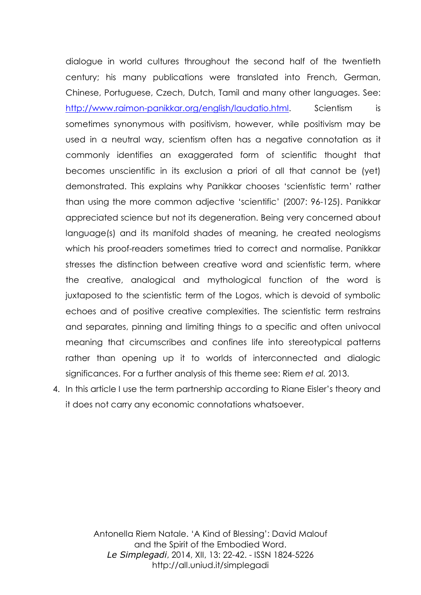dialogue in world cultures throughout the second half of the twentieth century; his many publications were translated into French, German, Chinese, Portuguese, Czech, Dutch, Tamil and many other languages. See: [http://www.raimon-panikkar.org/english/laudatio.html.](http://www.raimon-panikkar.org/english/laudatio.html) Scientism is sometimes synonymous with positivism, however, while positivism may be used in a neutral way, scientism often has a negative connotation as it commonly identifies an exaggerated form of scientific thought that becomes unscientific in its exclusion a priori of all that cannot be (yet) demonstrated. This explains why Panikkar chooses 'scientistic term' rather than using the more common adjective 'scientific' (2007: 96-125). Panikkar appreciated science but not its degeneration. Being very concerned about language(s) and its manifold shades of meaning, he created neologisms which his proof-readers sometimes tried to correct and normalise. Panikkar stresses the distinction between creative word and scientistic term, where the creative, analogical and mythological function of the word is juxtaposed to the scientistic term of the Logos, which is devoid of symbolic echoes and of positive creative complexities. The scientistic term restrains and separates, pinning and limiting things to a specific and often univocal meaning that circumscribes and confines life into stereotypical patterns rather than opening up it to worlds of interconnected and dialogic significances. For a further analysis of this theme see: Riem *et al.* 2013.

4. In this article I use the term partnership according to Riane Eisler's theory and it does not carry any economic connotations whatsoever.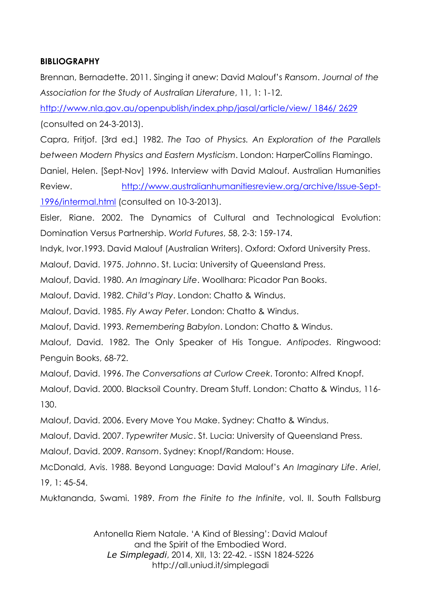## **BIBLIOGRAPHY**

Brennan, Bernadette. 2011. Singing it anew: David Malouf's *Ransom*. *Journal of the Association for the Study of Australian Literature*, 11, 1: 1-12.

[http://www.nla.gov.au/openpublish/index.php/jasal/article/view/ 1846/ 2629](http://www.nla.gov.au/openpublish/index.php/jasal/article/view/%201846/%202629) (consulted on 24-3-2013).

Capra, Fritjof. [3rd ed.] 1982. *The Tao of Physics. An Exploration of the Parallels between Modern Physics and Eastern Mysticism*. London: HarperCollins Flamingo.

Daniel, Helen. [Sept-Nov] 1996. Interview with David Malouf. Australian Humanities Review. [http://www.australianhumanitiesreview.org/archive/Issue-Sept-](http://www.australianhumanitiesreview.org/archive/Issue-Sept-1996/intermal.html)[1996/intermal.html](http://www.australianhumanitiesreview.org/archive/Issue-Sept-1996/intermal.html) (consulted on 10-3-2013).

Eisler, Riane. 2002. The Dynamics of Cultural and Technological Evolution: Domination Versus Partnership. *World Futures*, 58, 2-3: 159-174.

Indyk, Ivor.1993. David Malouf (Australian Writers). Oxford: Oxford University Press.

Malouf, David. 1975. *Johnno*. St. Lucia: University of Queensland Press.

Malouf, David. 1980. *An Imaginary Life*. Woollhara: Picador Pan Books.

Malouf, David. 1982. *Child's Play*. London: Chatto & Windus.

Malouf, David. 1985. *Fly Away Peter*. London: Chatto & Windus.

Malouf, David. 1993. *Remembering Babylon*. London: Chatto & Windus.

Malouf, David. 1982. The Only Speaker of His Tongue. *Antipodes*. Ringwood: Penguin Books, 68-72.

Malouf, David. 1996. *The Conversations at Curlow Creek*. Toronto: Alfred Knopf.

Malouf, David. 2000. Blacksoil Country. Dream Stuff. London: Chatto & Windus, 116- 130.

Malouf, David. 2006. Every Move You Make. Sydney: Chatto & Windus.

Malouf, David. 2007. *Typewriter Music*. St. Lucia: University of Queensland Press.

Malouf, David. 2009. *Ransom*. Sydney: Knopf/Random: House.

McDonald, Avis. 1988. Beyond Language: David Malouf's *An Imaginary Life*. *Ariel*, 19, 1: 45-54.

Muktananda, Swami. 1989. *From the Finite to the Infinite*, vol. II. South Fallsburg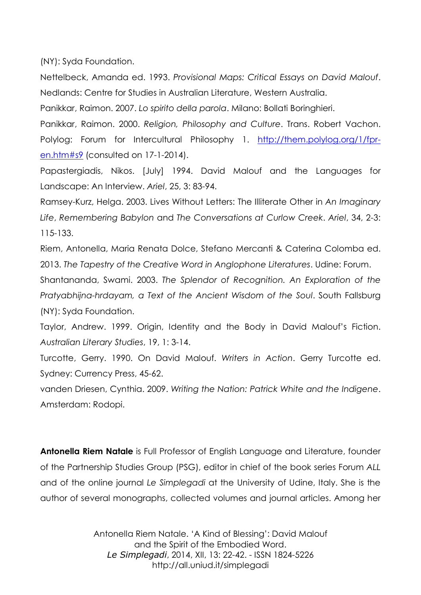(NY): Syda Foundation.

Nettelbeck, Amanda ed. 1993. *Provisional Maps: Critical Essays on David Malouf*. Nedlands: Centre for Studies in Australian Literature, Western Australia.

Panikkar, Raimon. 2007. *Lo spirito della parola*. Milano: Bollati Boringhieri.

Panikkar, Raimon. 2000. *Religion, Philosophy and Culture*. Trans. Robert Vachon. Polylog: Forum for Intercultural Philosophy 1. [http://them.polylog.org/1/fpr](http://them.polylog.org/1/fpr-en.htm%23s9)[en.htm#s9](http://them.polylog.org/1/fpr-en.htm%23s9) (consulted on 17-1-2014).

Papastergiadis, Nikos. [July] 1994. David Malouf and the Languages for Landscape: An Interview. *Ariel*, 25, 3: 83-94.

Ramsey-Kurz, Helga. 2003. Lives Without Letters: The Illiterate Other in *An Imaginary Life*, *Remembering Babylon* and *The Conversations at Curlow Creek*. *Ariel*, 34, 2-3: 115-133.

Riem, Antonella, Maria Renata Dolce, Stefano Mercanti & Caterina Colomba ed. 2013. *The Tapestry of the Creative Word in Anglophone Literatures*. Udine: Forum.

Shantananda, Swami. 2003. *The Splendor of Recognition. An Exploration of the Pratyabhijna-hrdayam, a Text of the Ancient Wisdom of the Soul*. South Fallsburg (NY): Syda Foundation.

Taylor, Andrew. 1999. Origin, Identity and the Body in David Malouf's Fiction. *Australian Literary Studies*, 19, 1: 3-14.

Turcotte, Gerry. 1990. On David Malouf. *Writers in Action*. Gerry Turcotte ed. Sydney: Currency Press, 45-62.

vanden Driesen, Cynthia. 2009. *Writing the Nation: Patrick White and the Indigene*. Amsterdam: Rodopi.

**Antonella Riem Natale** is Full Professor of English Language and Literature, founder of the Partnership Studies Group (PSG), editor in chief of the book series Forum *ALL* and of the online journal *Le Simplegadi* at the University of Udine, Italy. She is the author of several monographs, collected volumes and journal articles. Among her